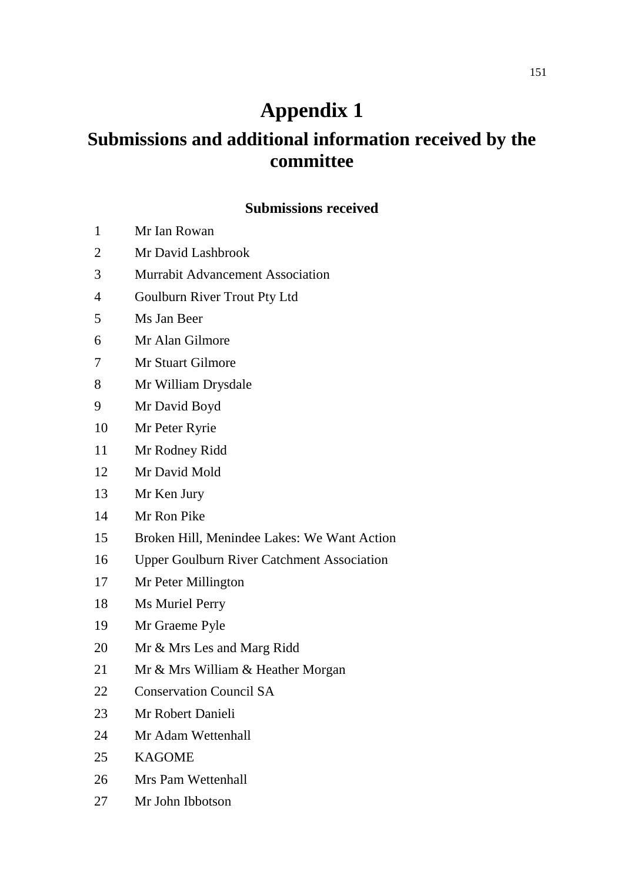## **Appendix 1**

## **Submissions and additional information received by the committee**

## **Submissions received**

- Mr Ian Rowan
- Mr David Lashbrook
- Murrabit Advancement Association
- Goulburn River Trout Pty Ltd
- Ms Jan Beer
- Mr Alan Gilmore
- Mr Stuart Gilmore
- Mr William Drysdale
- Mr David Boyd
- Mr Peter Ryrie
- Mr Rodney Ridd
- Mr David Mold
- Mr Ken Jury
- Mr Ron Pike
- Broken Hill, Menindee Lakes: We Want Action
- Upper Goulburn River Catchment Association
- Mr Peter Millington
- Ms Muriel Perry
- Mr Graeme Pyle
- Mr & Mrs Les and Marg Ridd
- Mr & Mrs William & Heather Morgan
- Conservation Council SA
- Mr Robert Danieli
- Mr Adam Wettenhall
- KAGOME
- Mrs Pam Wettenhall
- Mr John Ibbotson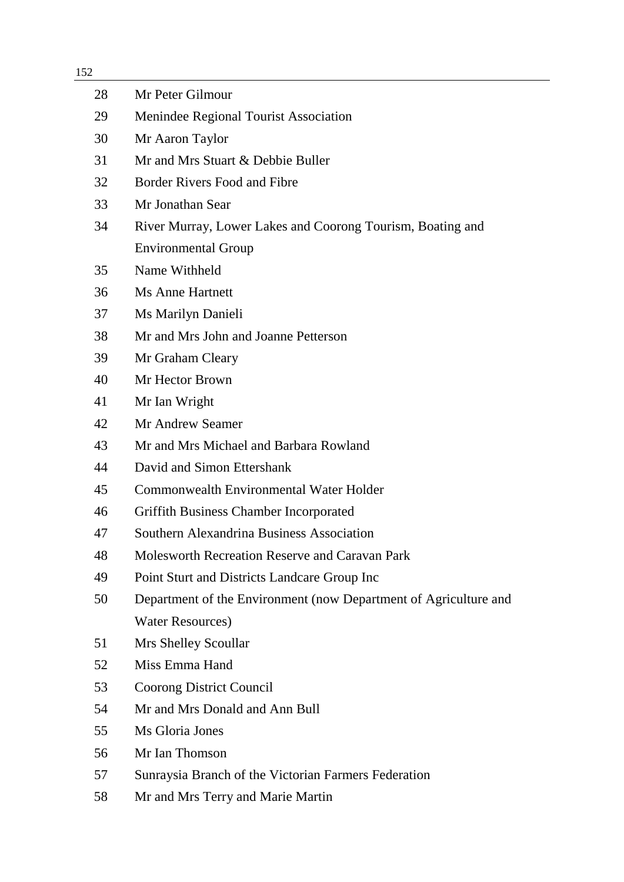| 152 |                                                                  |
|-----|------------------------------------------------------------------|
| 28  | Mr Peter Gilmour                                                 |
| 29  | Menindee Regional Tourist Association                            |
| 30  | Mr Aaron Taylor                                                  |
| 31  | Mr and Mrs Stuart & Debbie Buller                                |
| 32  | Border Rivers Food and Fibre                                     |
| 33  | Mr Jonathan Sear                                                 |
| 34  | River Murray, Lower Lakes and Coorong Tourism, Boating and       |
|     | <b>Environmental Group</b>                                       |
| 35  | Name Withheld                                                    |
| 36  | <b>Ms Anne Hartnett</b>                                          |
| 37  | Ms Marilyn Danieli                                               |
| 38  | Mr and Mrs John and Joanne Petterson                             |
| 39  | Mr Graham Cleary                                                 |
| 40  | Mr Hector Brown                                                  |
| 41  | Mr Ian Wright                                                    |
| 42  | Mr Andrew Seamer                                                 |
| 43  | Mr and Mrs Michael and Barbara Rowland                           |
| 44  | David and Simon Ettershank                                       |
| 45  | <b>Commonwealth Environmental Water Holder</b>                   |
| 46  | <b>Griffith Business Chamber Incorporated</b>                    |
| 47  | Southern Alexandrina Business Association                        |
| 48  | <b>Molesworth Recreation Reserve and Caravan Park</b>            |
| 49  | Point Sturt and Districts Landcare Group Inc                     |
| 50  | Department of the Environment (now Department of Agriculture and |
|     | <b>Water Resources)</b>                                          |
| 51  | Mrs Shelley Scoullar                                             |
| 52  | Miss Emma Hand                                                   |
| 53  | Coorong District Council                                         |
| 54  | Mr and Mrs Donald and Ann Bull                                   |
| 55  | Ms Gloria Jones                                                  |
| 56  | Mr Ian Thomson                                                   |
| 57  | Sunraysia Branch of the Victorian Farmers Federation             |
| 58  | Mr and Mrs Terry and Marie Martin                                |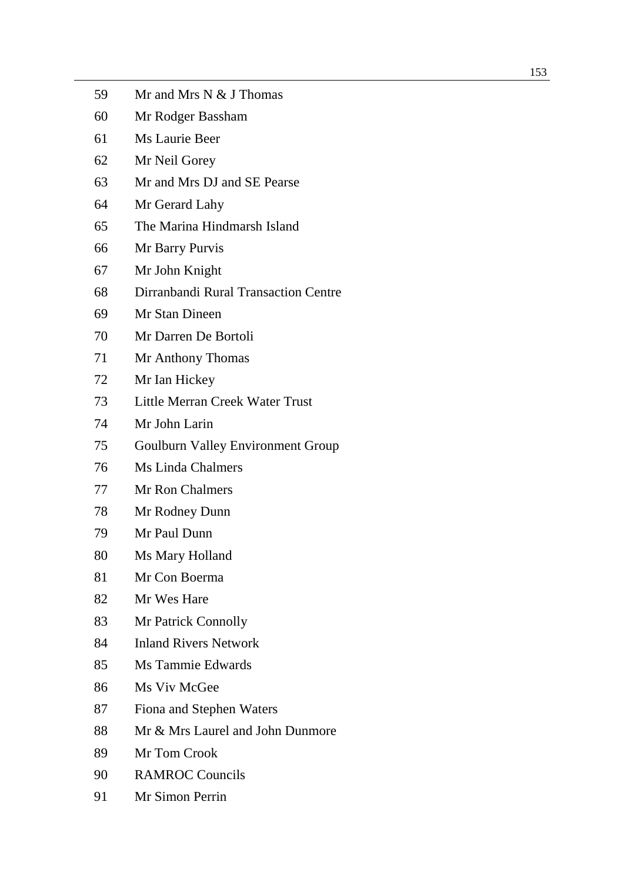| 59 | Mr and Mrs N & J Thomas                  |
|----|------------------------------------------|
| 60 | Mr Rodger Bassham                        |
| 61 | Ms Laurie Beer                           |
| 62 | Mr Neil Gorey                            |
| 63 | Mr and Mrs DJ and SE Pearse              |
| 64 | Mr Gerard Lahy                           |
| 65 | The Marina Hindmarsh Island              |
| 66 | Mr Barry Purvis                          |
| 67 | Mr John Knight                           |
| 68 | Dirranbandi Rural Transaction Centre     |
| 69 | Mr Stan Dineen                           |
| 70 | Mr Darren De Bortoli                     |
| 71 | Mr Anthony Thomas                        |
| 72 | Mr Ian Hickey                            |
| 73 | Little Merran Creek Water Trust          |
| 74 | Mr John Larin                            |
| 75 | <b>Goulburn Valley Environment Group</b> |
| 76 | <b>Ms Linda Chalmers</b>                 |
| 77 | <b>Mr Ron Chalmers</b>                   |
| 78 | Mr Rodney Dunn                           |
| 79 | Mr Paul Dunn                             |
| 80 | Ms Mary Holland                          |
| 81 | Mr Con Boerma                            |
| 82 | Mr Wes Hare                              |
| 83 | Mr Patrick Connolly                      |
| 84 | <b>Inland Rivers Network</b>             |
| 85 | Ms Tammie Edwards                        |
| 86 | Ms Viv McGee                             |
| 87 | Fiona and Stephen Waters                 |
| 88 | Mr & Mrs Laurel and John Dunmore         |
| 89 | Mr Tom Crook                             |
| 90 | <b>RAMROC Councils</b>                   |
| 91 | Mr Simon Perrin                          |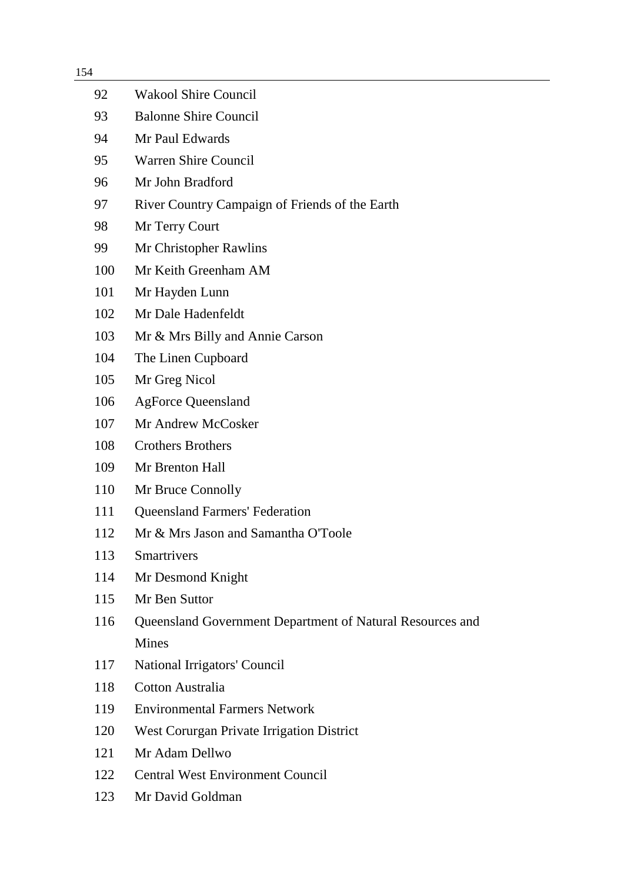| 154 |                                                           |  |
|-----|-----------------------------------------------------------|--|
| 92  | <b>Wakool Shire Council</b>                               |  |
| 93  | <b>Balonne Shire Council</b>                              |  |
| 94  | Mr Paul Edwards                                           |  |
| 95  | <b>Warren Shire Council</b>                               |  |
| 96  | Mr John Bradford                                          |  |
| 97  | River Country Campaign of Friends of the Earth            |  |
| 98  | Mr Terry Court                                            |  |
| 99  | Mr Christopher Rawlins                                    |  |
| 100 | Mr Keith Greenham AM                                      |  |
| 101 | Mr Hayden Lunn                                            |  |
| 102 | Mr Dale Hadenfeldt                                        |  |
| 103 | Mr & Mrs Billy and Annie Carson                           |  |
| 104 | The Linen Cupboard                                        |  |
| 105 | Mr Greg Nicol                                             |  |
| 106 | <b>AgForce Queensland</b>                                 |  |
| 107 | Mr Andrew McCosker                                        |  |
| 108 | <b>Crothers Brothers</b>                                  |  |
| 109 | Mr Brenton Hall                                           |  |
| 110 | Mr Bruce Connolly                                         |  |
| 111 | <b>Queensland Farmers' Federation</b>                     |  |
| 112 | Mr & Mrs Jason and Samantha O'Toole                       |  |
| 113 | Smartrivers                                               |  |
| 114 | Mr Desmond Knight                                         |  |
| 115 | Mr Ben Suttor                                             |  |
| 116 | Queensland Government Department of Natural Resources and |  |
|     | <b>Mines</b>                                              |  |
| 117 | National Irrigators' Council                              |  |
| 118 | <b>Cotton Australia</b>                                   |  |
| 119 | <b>Environmental Farmers Network</b>                      |  |
| 120 | West Corurgan Private Irrigation District                 |  |
| 121 | Mr Adam Dellwo                                            |  |
| 122 | <b>Central West Environment Council</b>                   |  |
| 123 | Mr David Goldman                                          |  |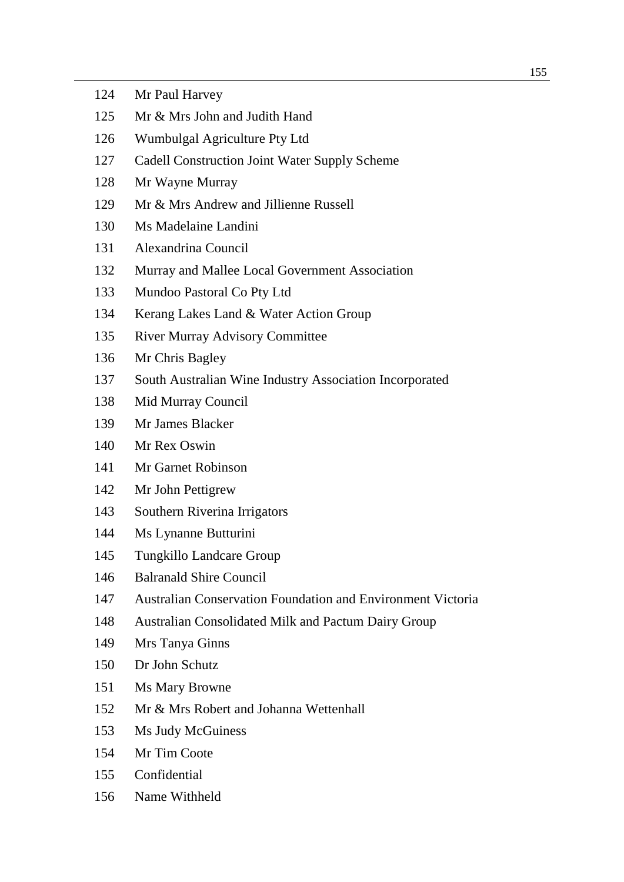| 124 | Mr Paul Harvey                                                     |
|-----|--------------------------------------------------------------------|
| 125 | Mr & Mrs John and Judith Hand                                      |
| 126 | Wumbulgal Agriculture Pty Ltd                                      |
| 127 | <b>Cadell Construction Joint Water Supply Scheme</b>               |
| 128 | Mr Wayne Murray                                                    |
| 129 | Mr & Mrs Andrew and Jillienne Russell                              |
| 130 | Ms Madelaine Landini                                               |
| 131 | Alexandrina Council                                                |
| 132 | Murray and Mallee Local Government Association                     |
| 133 | Mundoo Pastoral Co Pty Ltd                                         |
| 134 | Kerang Lakes Land & Water Action Group                             |
| 135 | <b>River Murray Advisory Committee</b>                             |
| 136 | Mr Chris Bagley                                                    |
| 137 | South Australian Wine Industry Association Incorporated            |
| 138 | Mid Murray Council                                                 |
| 139 | Mr James Blacker                                                   |
| 140 | Mr Rex Oswin                                                       |
| 141 | Mr Garnet Robinson                                                 |
| 142 | Mr John Pettigrew                                                  |
| 143 | Southern Riverina Irrigators                                       |
| 144 | Ms Lynanne Butturini                                               |
| 145 | Tungkillo Landcare Group                                           |
| 146 | <b>Balranald Shire Council</b>                                     |
| 147 | <b>Australian Conservation Foundation and Environment Victoria</b> |
| 148 | Australian Consolidated Milk and Pactum Dairy Group                |
| 149 | Mrs Tanya Ginns                                                    |
| 150 | Dr John Schutz                                                     |
| 151 | <b>Ms Mary Browne</b>                                              |
| 152 | Mr & Mrs Robert and Johanna Wettenhall                             |
| 153 | Ms Judy McGuiness                                                  |
| 154 | Mr Tim Coote                                                       |
| 155 | Confidential                                                       |
| 156 | Name Withheld                                                      |
|     |                                                                    |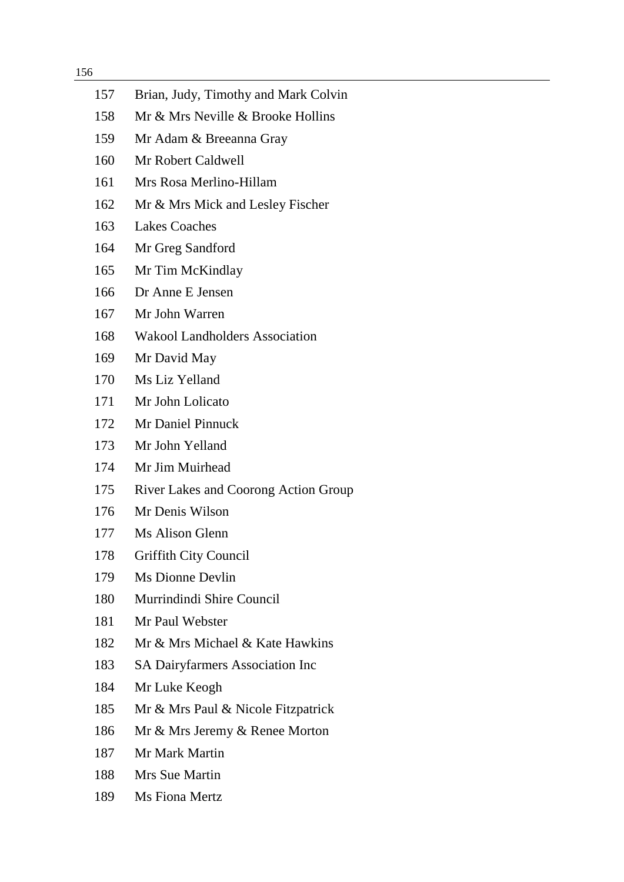| 157 | Brian, Judy, Timothy and Mark Colvin        |
|-----|---------------------------------------------|
| 158 | Mr & Mrs Neville & Brooke Hollins           |
| 159 | Mr Adam & Breeanna Gray                     |
| 160 | Mr Robert Caldwell                          |
| 161 | Mrs Rosa Merlino-Hillam                     |
| 162 | Mr & Mrs Mick and Lesley Fischer            |
| 163 | <b>Lakes Coaches</b>                        |
| 164 | Mr Greg Sandford                            |
| 165 | Mr Tim McKindlay                            |
| 166 | Dr Anne E Jensen                            |
| 167 | Mr John Warren                              |
| 168 | <b>Wakool Landholders Association</b>       |
| 169 | Mr David May                                |
| 170 | Ms Liz Yelland                              |
| 171 | Mr John Lolicato                            |
| 172 | <b>Mr Daniel Pinnuck</b>                    |
| 173 | Mr John Yelland                             |
| 174 | Mr Jim Muirhead                             |
| 175 | <b>River Lakes and Coorong Action Group</b> |
| 176 | Mr Denis Wilson                             |
| 177 | Ms Alison Glenn                             |
| 178 | <b>Griffith City Council</b>                |
| 179 | Ms Dionne Devlin                            |
| 180 | Murrindindi Shire Council                   |
| 181 | Mr Paul Webster                             |
| 182 | Mr & Mrs Michael & Kate Hawkins             |
| 183 | <b>SA Dairyfarmers Association Inc</b>      |
| 184 | Mr Luke Keogh                               |
| 185 | Mr & Mrs Paul & Nicole Fitzpatrick          |
| 186 | Mr & Mrs Jeremy & Renee Morton              |
| 187 | Mr Mark Martin                              |
| 188 | Mrs Sue Martin                              |
| 189 | Ms Fiona Mertz                              |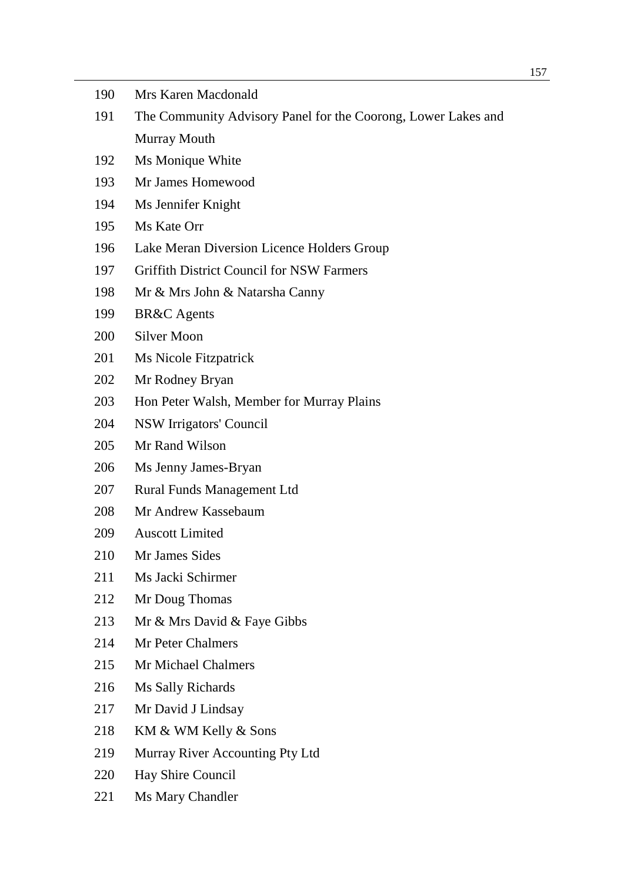| 190 | Mrs Karen Macdonald                                           |
|-----|---------------------------------------------------------------|
| 191 | The Community Advisory Panel for the Coorong, Lower Lakes and |
|     | Murray Mouth                                                  |
| 192 | Ms Monique White                                              |
| 193 | Mr James Homewood                                             |
| 194 | Ms Jennifer Knight                                            |
| 195 | Ms Kate Orr                                                   |
| 196 | Lake Meran Diversion Licence Holders Group                    |
| 197 | <b>Griffith District Council for NSW Farmers</b>              |
| 198 | Mr & Mrs John & Natarsha Canny                                |
| 199 | <b>BR&amp;C</b> Agents                                        |
| 200 | <b>Silver Moon</b>                                            |
| 201 | <b>Ms Nicole Fitzpatrick</b>                                  |
| 202 | Mr Rodney Bryan                                               |
| 203 | Hon Peter Walsh, Member for Murray Plains                     |
| 204 | NSW Irrigators' Council                                       |
| 205 | Mr Rand Wilson                                                |
| 206 | Ms Jenny James-Bryan                                          |
| 207 | <b>Rural Funds Management Ltd</b>                             |
| 208 | Mr Andrew Kassebaum                                           |
| 209 | <b>Auscott Limited</b>                                        |
| 210 | Mr James Sides                                                |
| 211 | Ms Jacki Schirmer                                             |
| 212 | Mr Doug Thomas                                                |
| 213 | Mr & Mrs David & Faye Gibbs                                   |
| 214 | Mr Peter Chalmers                                             |
| 215 | <b>Mr Michael Chalmers</b>                                    |
| 216 | Ms Sally Richards                                             |
| 217 | Mr David J Lindsay                                            |
| 218 | KM & WM Kelly & Sons                                          |
| 219 | Murray River Accounting Pty Ltd                               |
| 220 | Hay Shire Council                                             |
| 221 | Ms Mary Chandler                                              |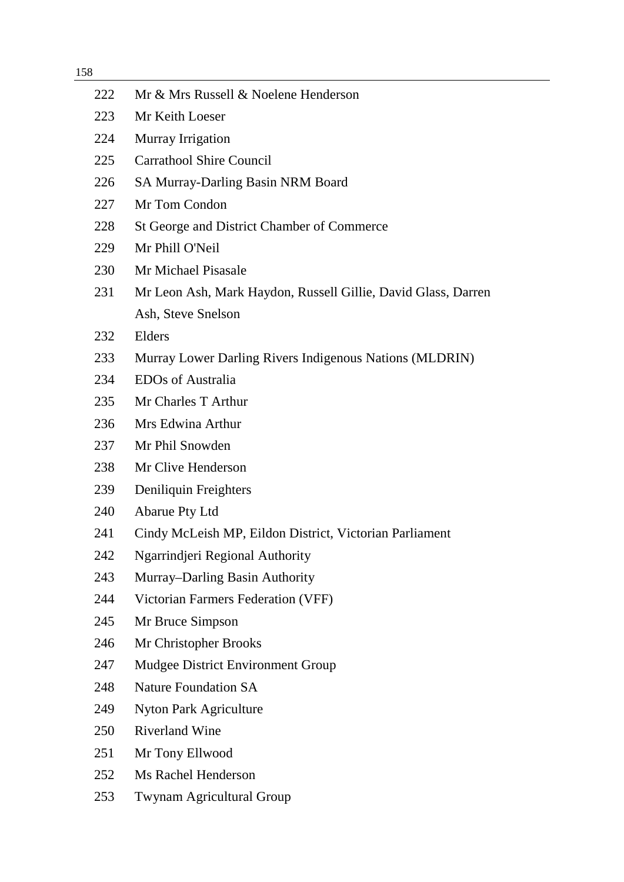| 222 | Mr & Mrs Russell & Noelene Henderson                          |
|-----|---------------------------------------------------------------|
| 223 | Mr Keith Loeser                                               |
| 224 | Murray Irrigation                                             |
| 225 | <b>Carrathool Shire Council</b>                               |
| 226 | SA Murray-Darling Basin NRM Board                             |
| 227 | Mr Tom Condon                                                 |
| 228 | St George and District Chamber of Commerce                    |
| 229 | Mr Phill O'Neil                                               |
| 230 | Mr Michael Pisasale                                           |
| 231 | Mr Leon Ash, Mark Haydon, Russell Gillie, David Glass, Darren |
|     | Ash, Steve Snelson                                            |
| 232 | Elders                                                        |
| 233 | Murray Lower Darling Rivers Indigenous Nations (MLDRIN)       |
| 234 | <b>EDOs of Australia</b>                                      |
| 235 | Mr Charles T Arthur                                           |
| 236 | Mrs Edwina Arthur                                             |
| 237 | Mr Phil Snowden                                               |
| 238 | Mr Clive Henderson                                            |
| 239 | Deniliquin Freighters                                         |
| 240 | <b>Abarue Pty Ltd</b>                                         |
| 241 | Cindy McLeish MP, Eildon District, Victorian Parliament       |
| 242 | Ngarrindjeri Regional Authority                               |
| 243 | Murray-Darling Basin Authority                                |
| 244 | Victorian Farmers Federation (VFF)                            |
| 245 | Mr Bruce Simpson                                              |
| 246 | Mr Christopher Brooks                                         |
| 247 | Mudgee District Environment Group                             |
| 248 | <b>Nature Foundation SA</b>                                   |
| 249 | <b>Nyton Park Agriculture</b>                                 |
| 250 | <b>Riverland Wine</b>                                         |
| 251 | Mr Tony Ellwood                                               |
| 252 | Ms Rachel Henderson                                           |
| 253 | Twynam Agricultural Group                                     |
|     |                                                               |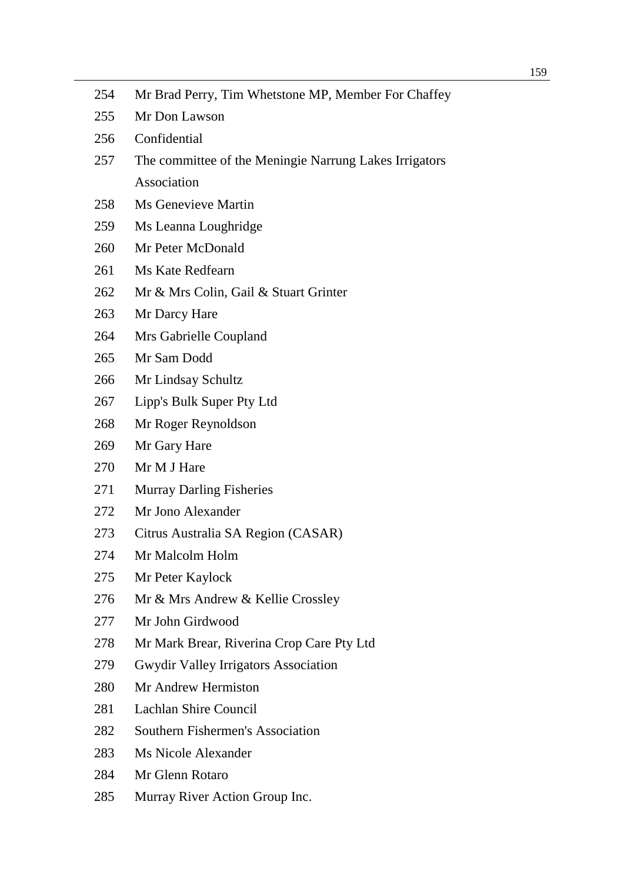| 254 | Mr Brad Perry, Tim Whetstone MP, Member For Chaffey    |
|-----|--------------------------------------------------------|
| 255 | Mr Don Lawson                                          |
| 256 | Confidential                                           |
| 257 | The committee of the Meningie Narrung Lakes Irrigators |
|     | Association                                            |
| 258 | <b>Ms Genevieve Martin</b>                             |
| 259 | Ms Leanna Loughridge                                   |
| 260 | Mr Peter McDonald                                      |
| 261 | Ms Kate Redfearn                                       |
| 262 | Mr & Mrs Colin, Gail & Stuart Grinter                  |
| 263 | Mr Darcy Hare                                          |
| 264 | Mrs Gabrielle Coupland                                 |
| 265 | Mr Sam Dodd                                            |
| 266 | Mr Lindsay Schultz                                     |
| 267 | Lipp's Bulk Super Pty Ltd                              |
| 268 | Mr Roger Reynoldson                                    |
| 269 | Mr Gary Hare                                           |
| 270 | Mr M J Hare                                            |
| 271 | <b>Murray Darling Fisheries</b>                        |
| 272 | Mr Jono Alexander                                      |
| 273 | Citrus Australia SA Region (CASAR)                     |
| 274 | Mr Malcolm Holm                                        |
| 275 | Mr Peter Kaylock                                       |
| 276 | Mr & Mrs Andrew & Kellie Crossley                      |
| 277 | Mr John Girdwood                                       |
| 278 | Mr Mark Brear, Riverina Crop Care Pty Ltd              |
| 279 | <b>Gwydir Valley Irrigators Association</b>            |
| 280 | Mr Andrew Hermiston                                    |
| 281 | Lachlan Shire Council                                  |
| 282 | Southern Fishermen's Association                       |
| 283 | Ms Nicole Alexander                                    |
| 284 | Mr Glenn Rotaro                                        |
| 285 | Murray River Action Group Inc.                         |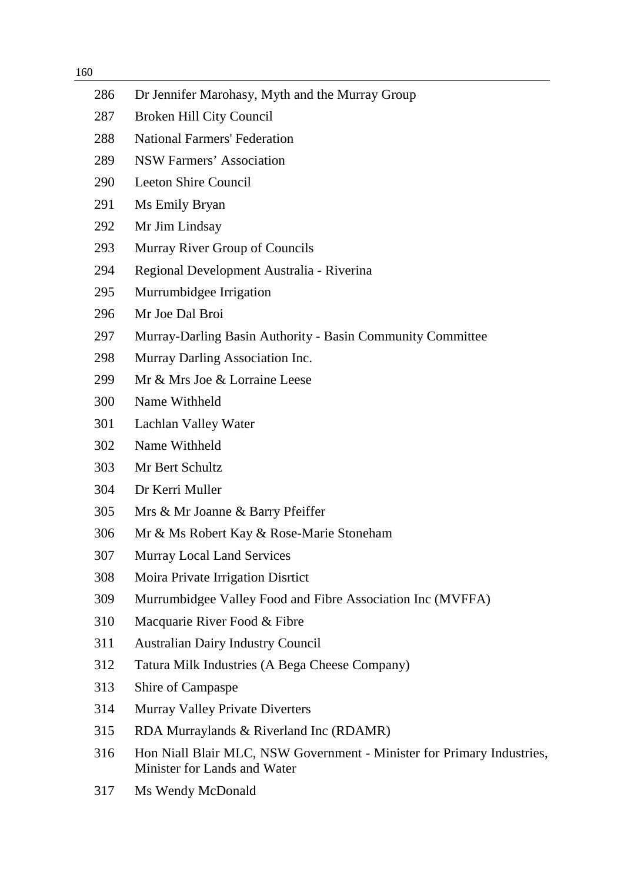| 286 | Dr Jennifer Marohasy, Myth and the Murray Group                                                        |
|-----|--------------------------------------------------------------------------------------------------------|
| 287 | Broken Hill City Council                                                                               |
| 288 | <b>National Farmers' Federation</b>                                                                    |
| 289 | <b>NSW Farmers' Association</b>                                                                        |
| 290 | <b>Leeton Shire Council</b>                                                                            |
| 291 | Ms Emily Bryan                                                                                         |
| 292 | Mr Jim Lindsay                                                                                         |
| 293 | Murray River Group of Councils                                                                         |
| 294 | Regional Development Australia - Riverina                                                              |
| 295 | Murrumbidgee Irrigation                                                                                |
| 296 | Mr Joe Dal Broi                                                                                        |
| 297 | Murray-Darling Basin Authority - Basin Community Committee                                             |
| 298 | Murray Darling Association Inc.                                                                        |
| 299 | Mr & Mrs Joe & Lorraine Leese                                                                          |
| 300 | Name Withheld                                                                                          |
| 301 | Lachlan Valley Water                                                                                   |
| 302 | Name Withheld                                                                                          |
| 303 | Mr Bert Schultz                                                                                        |
| 304 | Dr Kerri Muller                                                                                        |
| 305 | Mrs & Mr Joanne & Barry Pfeiffer                                                                       |
| 306 | Mr & Ms Robert Kay & Rose-Marie Stoneham                                                               |
| 307 | <b>Murray Local Land Services</b>                                                                      |
| 308 | Moira Private Irrigation Disrtict                                                                      |
| 309 | Murrumbidgee Valley Food and Fibre Association Inc (MVFFA)                                             |
| 310 | Macquarie River Food & Fibre                                                                           |
| 311 | <b>Australian Dairy Industry Council</b>                                                               |
| 312 | Tatura Milk Industries (A Bega Cheese Company)                                                         |
| 313 | Shire of Campaspe                                                                                      |
| 314 | <b>Murray Valley Private Diverters</b>                                                                 |
| 315 | RDA Murraylands & Riverland Inc (RDAMR)                                                                |
| 316 | Hon Niall Blair MLC, NSW Government - Minister for Primary Industries,<br>Minister for Lands and Water |
| 317 | Ms Wendy McDonald                                                                                      |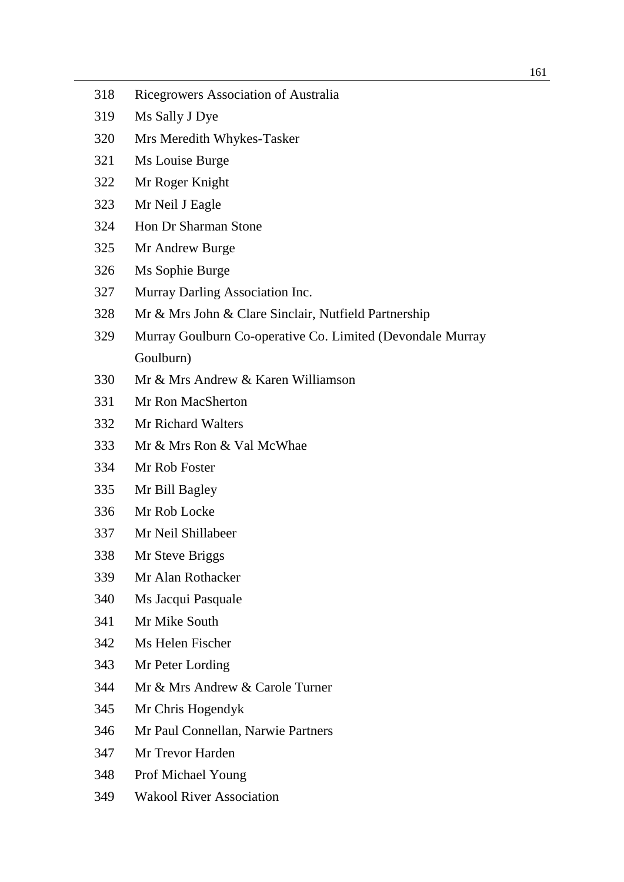- Ricegrowers Association of Australia
- Ms Sally J Dye
- Mrs Meredith Whykes-Tasker
- Ms Louise Burge
- Mr Roger Knight
- Mr Neil J Eagle
- Hon Dr Sharman Stone
- Mr Andrew Burge
- Ms Sophie Burge
- Murray Darling Association Inc.
- Mr & Mrs John & Clare Sinclair, Nutfield Partnership
- Murray Goulburn Co-operative Co. Limited (Devondale Murray Goulburn)
- Mr & Mrs Andrew & Karen Williamson
- Mr Ron MacSherton
- Mr Richard Walters
- Mr & Mrs Ron & Val McWhae
- Mr Rob Foster
- Mr Bill Bagley
- Mr Rob Locke
- Mr Neil Shillabeer
- Mr Steve Briggs
- Mr Alan Rothacker
- Ms Jacqui Pasquale
- Mr Mike South
- Ms Helen Fischer
- Mr Peter Lording
- Mr & Mrs Andrew & Carole Turner
- Mr Chris Hogendyk
- Mr Paul Connellan, Narwie Partners
- Mr Trevor Harden
- Prof Michael Young
- Wakool River Association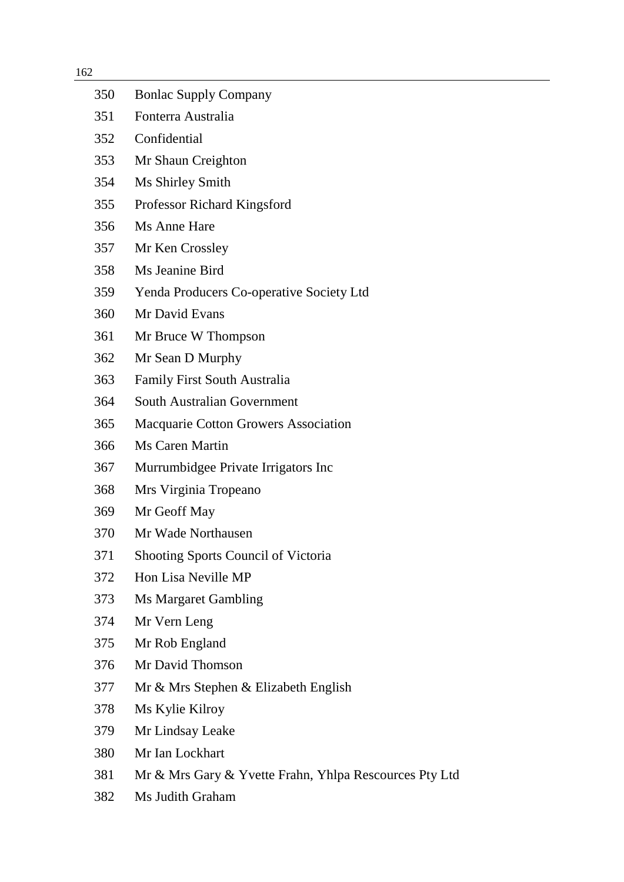| 350 | <b>Bonlac Supply Company</b>                           |
|-----|--------------------------------------------------------|
| 351 | Fonterra Australia                                     |
| 352 | Confidential                                           |
| 353 | Mr Shaun Creighton                                     |
| 354 | Ms Shirley Smith                                       |
| 355 | Professor Richard Kingsford                            |
| 356 | Ms Anne Hare                                           |
| 357 | Mr Ken Crossley                                        |
| 358 | Ms Jeanine Bird                                        |
| 359 | <b>Yenda Producers Co-operative Society Ltd</b>        |
| 360 | Mr David Evans                                         |
| 361 | Mr Bruce W Thompson                                    |
| 362 | Mr Sean D Murphy                                       |
| 363 | <b>Family First South Australia</b>                    |
| 364 | <b>South Australian Government</b>                     |
| 365 | <b>Macquarie Cotton Growers Association</b>            |
| 366 | Ms Caren Martin                                        |
| 367 | Murrumbidgee Private Irrigators Inc                    |
| 368 | Mrs Virginia Tropeano                                  |
| 369 | Mr Geoff May                                           |
| 370 | Mr Wade Northausen                                     |
| 371 | <b>Shooting Sports Council of Victoria</b>             |
| 372 | Hon Lisa Neville MP                                    |
| 373 | <b>Ms Margaret Gambling</b>                            |
| 374 | Mr Vern Leng                                           |
| 375 | Mr Rob England                                         |
| 376 | Mr David Thomson                                       |
| 377 | Mr & Mrs Stephen & Elizabeth English                   |
| 378 | Ms Kylie Kilroy                                        |
| 379 | Mr Lindsay Leake                                       |
| 380 | Mr Ian Lockhart                                        |
| 381 | Mr & Mrs Gary & Yvette Frahn, Yhlpa Rescources Pty Ltd |
| 382 | Ms Judith Graham                                       |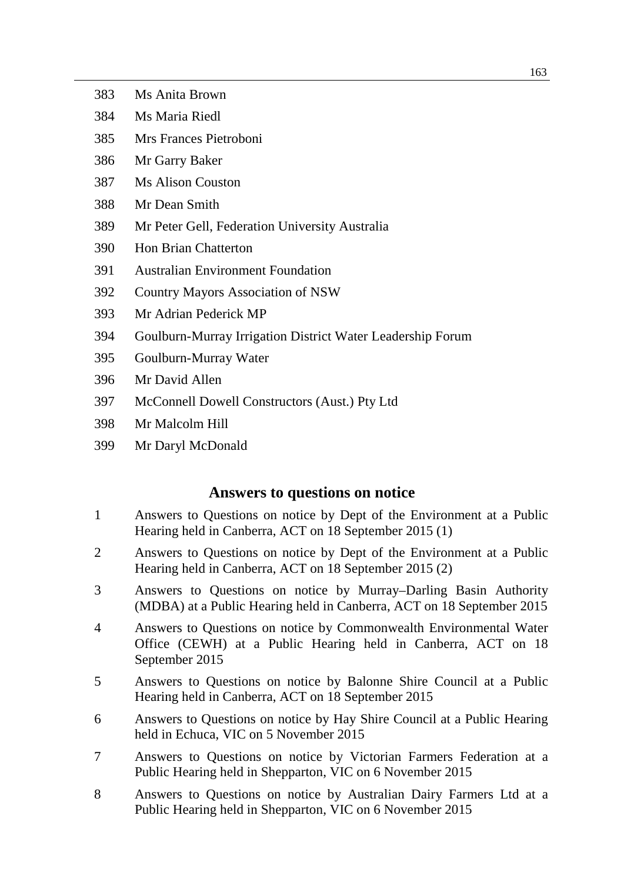- Ms Anita Brown
- Ms Maria Riedl
- Mrs Frances Pietroboni
- Mr Garry Baker
- Ms Alison Couston
- Mr Dean Smith
- Mr Peter Gell, Federation University Australia
- Hon Brian Chatterton
- Australian Environment Foundation
- Country Mayors Association of NSW
- Mr Adrian Pederick MP
- Goulburn-Murray Irrigation District Water Leadership Forum
- Goulburn-Murray Water
- Mr David Allen
- McConnell Dowell Constructors (Aust.) Pty Ltd
- Mr Malcolm Hill
- Mr Daryl McDonald

## **Answers to questions on notice**

- Answers to Questions on notice by Dept of the Environment at a Public Hearing held in Canberra, ACT on 18 September 2015 (1)
- Answers to Questions on notice by Dept of the Environment at a Public Hearing held in Canberra, ACT on 18 September 2015 (2)
- Answers to Questions on notice by Murray–Darling Basin Authority (MDBA) at a Public Hearing held in Canberra, ACT on 18 September 2015
- Answers to Questions on notice by Commonwealth Environmental Water Office (CEWH) at a Public Hearing held in Canberra, ACT on 18 September 2015
- Answers to Questions on notice by Balonne Shire Council at a Public Hearing held in Canberra, ACT on 18 September 2015
- Answers to Questions on notice by Hay Shire Council at a Public Hearing held in Echuca, VIC on 5 November 2015
- Answers to Questions on notice by Victorian Farmers Federation at a Public Hearing held in Shepparton, VIC on 6 November 2015
- Answers to Questions on notice by Australian Dairy Farmers Ltd at a Public Hearing held in Shepparton, VIC on 6 November 2015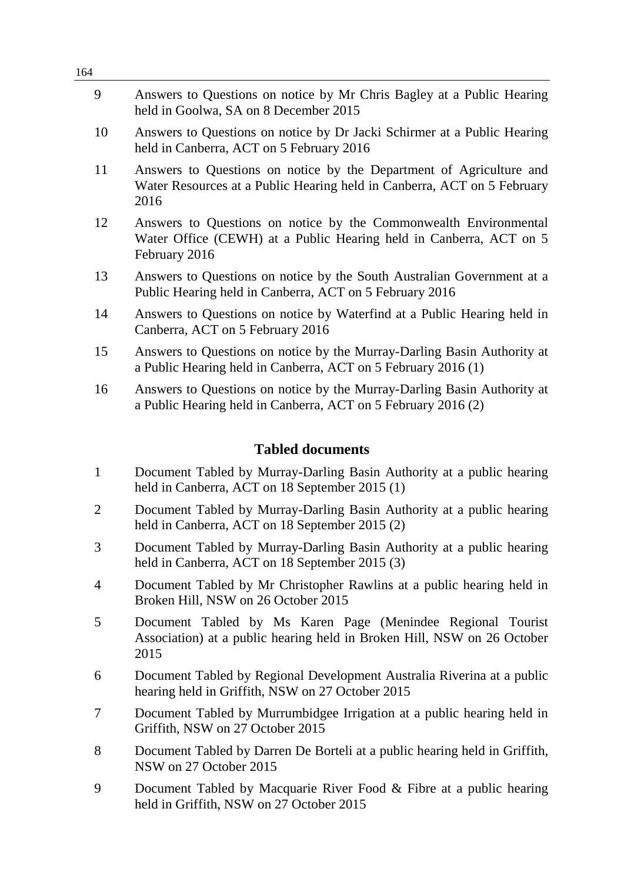| 54                      |                                                                                                                                                         |  |
|-------------------------|---------------------------------------------------------------------------------------------------------------------------------------------------------|--|
| 9                       | Answers to Questions on notice by Mr Chris Bagley at a Public Hearing<br>held in Goolwa, SA on 8 December 2015                                          |  |
| 10                      | Answers to Questions on notice by Dr Jacki Schirmer at a Public Hearing<br>held in Canberra, ACT on 5 February 2016                                     |  |
| 11                      | Answers to Questions on notice by the Department of Agriculture and<br>Water Resources at a Public Hearing held in Canberra, ACT on 5 February<br>2016  |  |
| 12                      | Answers to Questions on notice by the Commonwealth Environmental<br>Water Office (CEWH) at a Public Hearing held in Canberra, ACT on 5<br>February 2016 |  |
| 13                      | Answers to Questions on notice by the South Australian Government at a<br>Public Hearing held in Canberra, ACT on 5 February 2016                       |  |
| 14                      | Answers to Questions on notice by Waterfind at a Public Hearing held in<br>Canberra, ACT on 5 February 2016                                             |  |
| 15                      | Answers to Questions on notice by the Murray-Darling Basin Authority at<br>a Public Hearing held in Canberra, ACT on 5 February 2016 (1)                |  |
| 16                      | Answers to Questions on notice by the Murray-Darling Basin Authority at<br>a Public Hearing held in Canberra, ACT on 5 February 2016 (2)                |  |
| <b>Tabled documents</b> |                                                                                                                                                         |  |
| $\mathbf{1}$            | Document Tabled by Murray-Darling Basin Authority at a public hearing<br>held in Canberra, ACT on 18 September 2015 (1)                                 |  |
| $\overline{2}$          | Document Tabled by Murray-Darling Basin Authority at a public hearing<br>held in Canberra, ACT on 18 September 2015 (2)                                 |  |
| 3                       | Document Tabled by Murray-Darling Basin Authority at a public hearing<br>held in Canberra, ACT on 18 September 2015 (3)                                 |  |
|                         |                                                                                                                                                         |  |

- 4 Document Tabled by Mr Christopher Rawlins at a public hearing held in Broken Hill, NSW on 26 October 2015
- 5 Document Tabled by Ms Karen Page (Menindee Regional Tourist Association) at a public hearing held in Broken Hill, NSW on 26 October 2015
- 6 Document Tabled by Regional Development Australia Riverina at a public hearing held in Griffith, NSW on 27 October 2015
- 7 Document Tabled by Murrumbidgee Irrigation at a public hearing held in Griffith, NSW on 27 October 2015
- 8 Document Tabled by Darren De Borteli at a public hearing held in Griffith, NSW on 27 October 2015
- 9 Document Tabled by Macquarie River Food & Fibre at a public hearing held in Griffith, NSW on 27 October 2015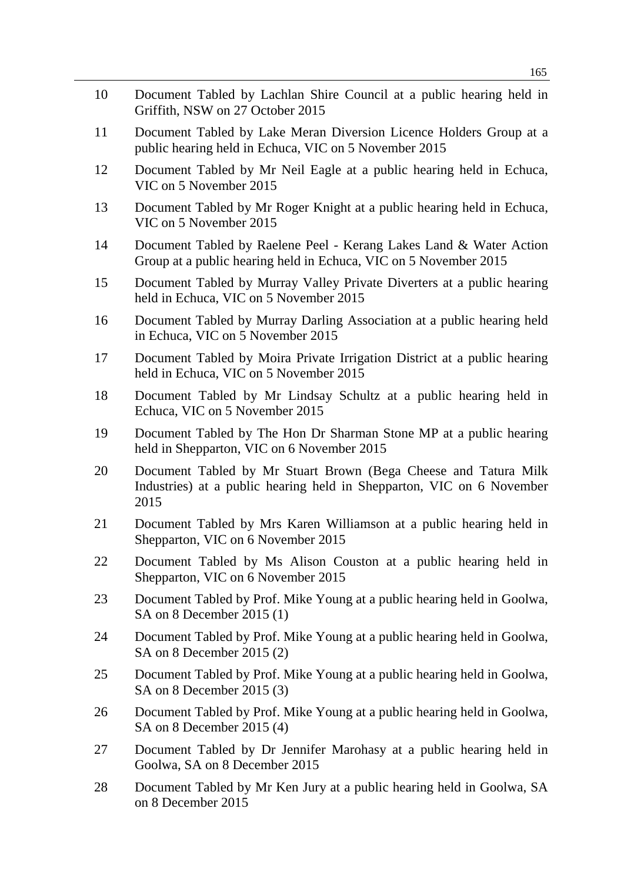165

- 10 Document Tabled by Lachlan Shire Council at a public hearing held in Griffith, NSW on 27 October 2015
- 11 Document Tabled by Lake Meran Diversion Licence Holders Group at a public hearing held in Echuca, VIC on 5 November 2015
- 12 Document Tabled by Mr Neil Eagle at a public hearing held in Echuca, VIC on 5 November 2015
- 13 Document Tabled by Mr Roger Knight at a public hearing held in Echuca, VIC on 5 November 2015
- 14 Document Tabled by Raelene Peel Kerang Lakes Land & Water Action Group at a public hearing held in Echuca, VIC on 5 November 2015
- 15 Document Tabled by Murray Valley Private Diverters at a public hearing held in Echuca, VIC on 5 November 2015
- 16 Document Tabled by Murray Darling Association at a public hearing held in Echuca, VIC on 5 November 2015
- 17 Document Tabled by Moira Private Irrigation District at a public hearing held in Echuca, VIC on 5 November 2015
- 18 Document Tabled by Mr Lindsay Schultz at a public hearing held in Echuca, VIC on 5 November 2015
- 19 Document Tabled by The Hon Dr Sharman Stone MP at a public hearing held in Shepparton, VIC on 6 November 2015
- 20 Document Tabled by Mr Stuart Brown (Bega Cheese and Tatura Milk Industries) at a public hearing held in Shepparton, VIC on 6 November 2015
- 21 Document Tabled by Mrs Karen Williamson at a public hearing held in Shepparton, VIC on 6 November 2015
- 22 Document Tabled by Ms Alison Couston at a public hearing held in Shepparton, VIC on 6 November 2015
- 23 Document Tabled by Prof. Mike Young at a public hearing held in Goolwa, SA on 8 December 2015 (1)
- 24 Document Tabled by Prof. Mike Young at a public hearing held in Goolwa, SA on 8 December 2015 (2)
- 25 Document Tabled by Prof. Mike Young at a public hearing held in Goolwa, SA on 8 December 2015 (3)
- 26 Document Tabled by Prof. Mike Young at a public hearing held in Goolwa, SA on 8 December 2015 (4)
- 27 Document Tabled by Dr Jennifer Marohasy at a public hearing held in Goolwa, SA on 8 December 2015
- 28 Document Tabled by Mr Ken Jury at a public hearing held in Goolwa, SA on 8 December 2015